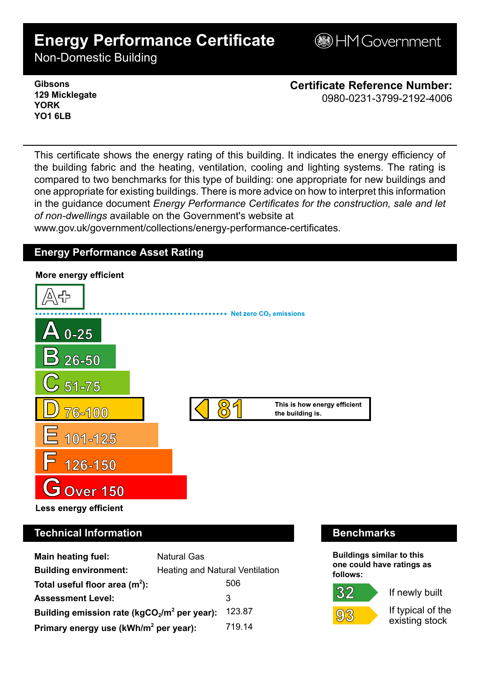# **Energy Performance Certificate**

**BHM Government** 

Non-Domestic Building

**Gibsons 129 Micklegate YORK YO1 6LB**

**Certificate Reference Number:** 0980-0231-3799-2192-4006

This certificate shows the energy rating of this building. It indicates the energy efficiency of the building fabric and the heating, ventilation, cooling and lighting systems. The rating is compared to two benchmarks for this type of building: one appropriate for new buildings and one appropriate for existing buildings. There is more advice on how to interpret this information in the guidance document *Energy Performance Certificates for the construction, sale and let of non-dwellings* available on the Government's website at www.gov.uk/government/collections/energy-performance-certificates.

## **Energy Performance Asset Rating**



## **Technical Information Benchmarks**

| <b>Main heating fuel:</b>                         | <b>Natural Gas</b>                     |        |
|---------------------------------------------------|----------------------------------------|--------|
| <b>Building environment:</b>                      | <b>Heating and Natural Ventilation</b> |        |
| Total useful floor area $(m2)$ :                  |                                        | 506    |
| <b>Assessment Level:</b>                          |                                        | 3      |
| Building emission rate ( $kgCO2/m2$ per year):    |                                        | 123.87 |
| Primary energy use (kWh/m <sup>2</sup> per year): |                                        | 719.14 |

**Buildings similar to this one could have ratings as follows:**

## 32



If newly built

If typical of the existing stock